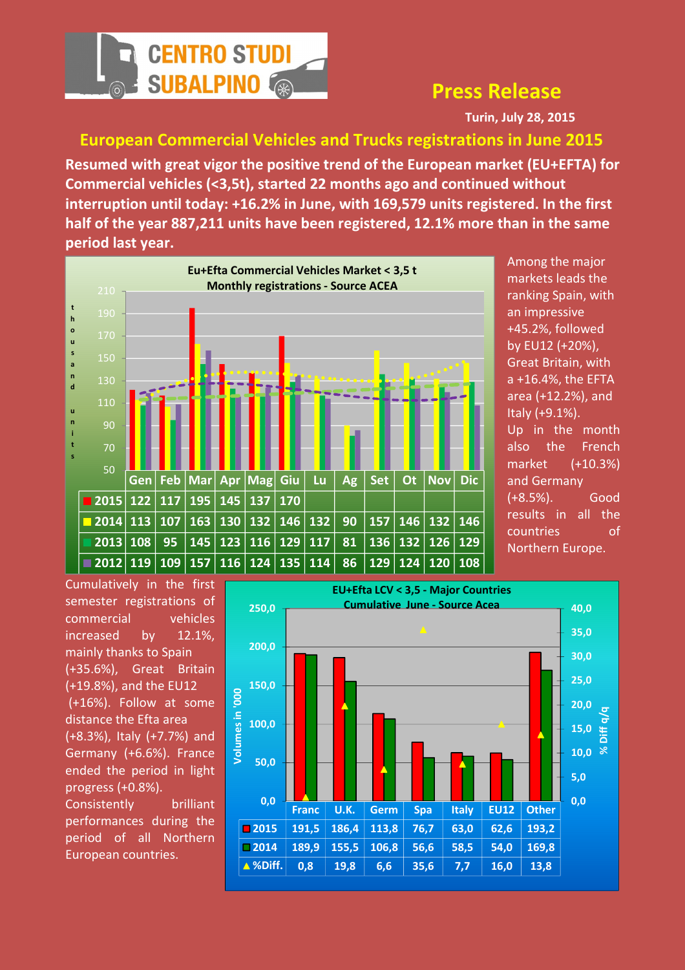

## Press Release

Turin, July 28, 2015

European Commercial Vehicles and Trucks registrations in June 2015

Resumed with great vigor the positive trend of the European market (EU+EFTA) for Commercial vehicles (<3,5t), started 22 months ago and continued without interruption until today: +16.2% in June, with 169,579 units registered. In the first half of the year 887,211 units have been registered, 12.1% more than in the same period last year.



Among the major markets leads the ranking Spain, with an impressive +45.2%, followed by EU12 (+20%), Great Britain, with a +16.4%, the EFTA area (+12.2%), and Italy (+9.1%). Up in the month also the French market (+10.3%) and Germany (+8.5%). Good results in all the countries of Northern Europe.

Cumulatively in the first semester registrations of commercial vehicles increased by 12.1%, mainly thanks to Spain (+35.6%), Great Britain (+19.8%), and the EU12 (+16%). Follow at some distance the Efta area (+8.3%), Italy (+7.7%) and Germany (+6.6%). France ended the period in light progress (+0.8%). Consistently brilliant performances during the period of all Northern European countries.

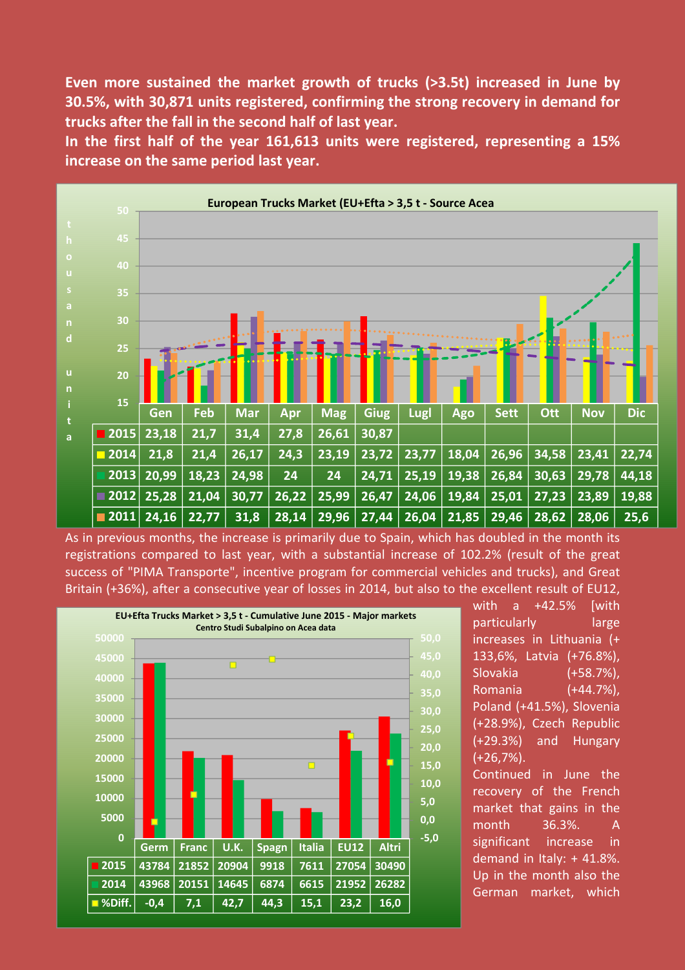Even more sustained the market growth of trucks (>3.5t) increased in June by 30.5%, with 30,871 units registered, confirming the strong recovery in demand for trucks after the fall in the second half of last year.

In the first half of the year 161,613 units were registered, representing a 15% increase on the same period last year.



As in previous months, the increase is primarily due to Spain, which has doubled in the month its registrations compared to last year, with a substantial increase of 102.2% (result of the great success of "PIMA Transporte", incentive program for commercial vehicles and trucks), and Great Britain (+36%), after a consecutive year of losses in 2014, but also to the excellent result of EU12,



with a +42.5% [with particularly large increases in Lithuania (+ 133,6%, Latvia (+76.8%), Slovakia (+58.7%), Romania (+44.7%), Poland (+41.5%), Slovenia (+28.9%), Czech Republic (+29.3%) and Hungary (+26,7%). Continued in June the

recovery of the French market that gains in the month 36.3%. A significant increase in demand in Italy: + 41.8%. Up in the month also the German market, which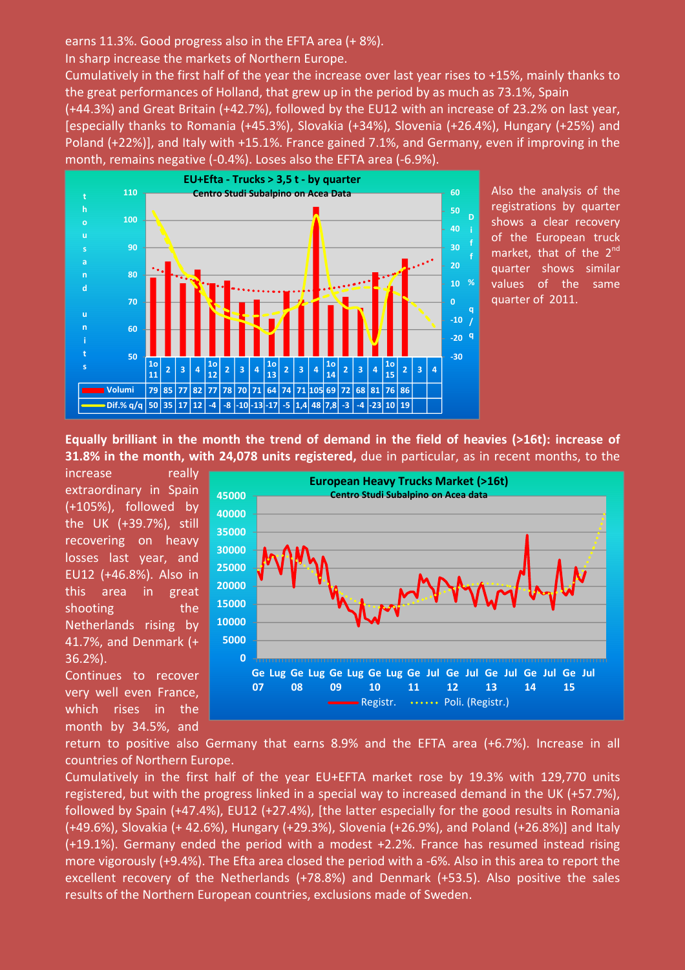earns 11.3%. Good progress also in the EFTA area (+ 8%).

In sharp increase the markets of Northern Europe.

Cumulatively in the first half of the year the increase over last year rises to +15%, mainly thanks to the great performances of Holland, that grew up in the period by as much as 73.1%, Spain

(+44.3%) and Great Britain (+42.7%), followed by the EU12 with an increase of 23.2% on last year, [especially thanks to Romania (+45.3%), Slovakia (+34%), Slovenia (+26.4%), Hungary (+25%) and Poland (+22%)], and Italy with +15.1%. France gained 7.1%, and Germany, even if improving in the month, remains negative (-0.4%). Loses also the EFTA area (-6.9%).



Also the analysis of the registrations by quarter shows a clear recovery of the European truck market, that of the 2<sup>nd</sup> quarter shows similar values of the same quarter of 2011.

Equally brilliant in the month the trend of demand in the field of heavies (>16t): increase of 31.8% in the month, with 24,078 units registered, due in particular, as in recent months, to the

increase really extraordinary in Spain (+105%), followed by the UK (+39.7%), still recovering on heavy losses last year, and EU12 (+46.8%). Also in this area in great shooting the Netherlands rising by 41.7%, and Denmark (+ 36.2%).

Continues to recover very well even France, which rises in the month by 34.5%, and



return to positive also Germany that earns 8.9% and the EFTA area (+6.7%). Increase in all countries of Northern Europe.

Cumulatively in the first half of the year EU+EFTA market rose by 19.3% with 129,770 units registered, but with the progress linked in a special way to increased demand in the UK (+57.7%), followed by Spain (+47.4%), EU12 (+27.4%), [the latter especially for the good results in Romania (+49.6%), Slovakia (+ 42.6%), Hungary (+29.3%), Slovenia (+26.9%), and Poland (+26.8%)] and Italy (+19.1%). Germany ended the period with a modest +2.2%. France has resumed instead rising more vigorously (+9.4%). The Efta area closed the period with a -6%. Also in this area to report the excellent recovery of the Netherlands (+78.8%) and Denmark (+53.5). Also positive the sales results of the Northern European countries, exclusions made of Sweden.